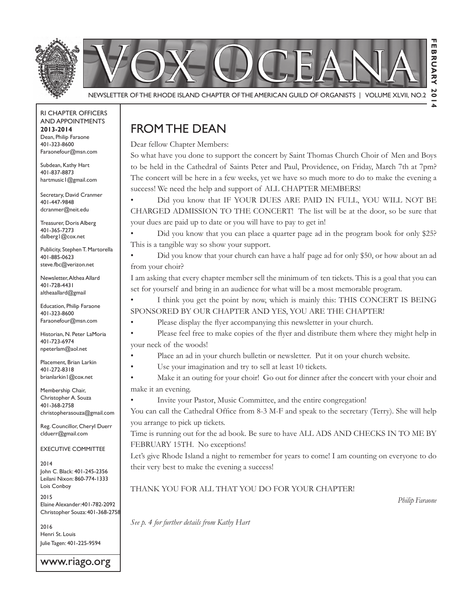

Newsletter of the rhode IslaNd Chapter of the amerICaN GuIld of orGaNIsts | Volume XlVII, No.2

rI Chapter offICers aNd appoINtmeNts **2013-2014** Dean, Philip Faraone 401-323-8600 faraonefour@msn.com

Subdean, Kathy Hart 401-837-8873 hartmusic1@gmail.com

Secretary, David Cranmer 401-447-9848 dcranmer@neit.edu

Treasurer, Doris Alberg 401-365-7273 dalberg<sup>1</sup>@cox.net

Publicity, Stephen T. Martorella 401-885-0623 steve.fbc@verizon.net

Newsletter, Althea Allard 401-728-4431 altheaallard@gmail

**Education, Philip Faraone** 401-323-8600 faraonefour@msn.com

Historian, N. Peter LaMoria 401-723-6974 npeterlam@aol.net

placement, Brian larkin 401-272-8318 brianlarkin1@cox.net

Membership Chair, Christopher A. Souza 401-368-2758 christopherasouza@gmail.com

Reg. Councillor, Cheryl Duerr clduerr@gmail.com

eXeCutIVe CommIttee

2014 John C. Black: 401-245-2356 leilani Nixon: 860-774-1333 Lois Conboy

2015 Elaine Alexander: 401-782-2092 Christopher souza: 401-368-2758

2016 henri st. louis Julie Tagen: 401-225-9594

www.riago.org

#### from the deaN

Dear fellow Chapter Members:

So what have you done to support the concert by Saint Thomas Church Choir of Men and Boys to be held in the Cathedral of Saints Peter and Paul, Providence, on Friday, March 7th at 7pm? The concert will be here in a few weeks, yet we have so much more to do to make the evening a success! We need the help and support of ALL CHAPTER MEMBERS!

Did you know that IF YOUR DUES ARE PAID IN FULL, YOU WILL NOT BE CHARGED ADMISSION TO THE CONCERT! The list will be at the door, so be sure that your dues are paid up to date or you will have to pay to get in!

'LG Did you know that you can place a quarter page ad in the program book for only \$25? This is a tangible way so show your support.

Did you know that your church can have a half page ad for only \$50, or how about an ad from your choir?

I am asking that every chapter member sell the minimum of ten tickets. This is a goal that you can set for yourself and bring in an audience for what will be a most memorable program.

I think you get the point by now, which is mainly this: THIS CONCERT IS BEING SPONSORED BY OUR CHAPTER AND YES, YOU ARE THE CHAPTER!

Please display the flyer accompanying this newsletter in your church.

• Please feel free to make copies of the flyer and distribute them where they might help in your neck of the woods!

Place an ad in your church bulletin or newsletter. Put it on your church website.

Use your imagination and try to sell at least 10 tickets.

Make it an outing for your choir! Go out for dinner after the concert with your choir and make it an evening.

• Invite your Pastor, Music Committee, and the entire congregation!

You can call the Cathedral Office from 8-3 M-F and speak to the secretary (Terry). She will help you arrange to pick up tickets.

Time is running out for the ad book. Be sure to have ALL ADS AND CHECKS IN TO ME BY FEBRUARY 15TH. No exceptions!

Let's give Rhode Island a night to remember for years to come! I am counting on everyone to do their very best to make the evening a success!

#### THANK YOU FOR ALL THAT YOU DO FOR YOUR CHAPTER!

*Philip Faraone*

*See p. 4 for further details from Kathy Hart*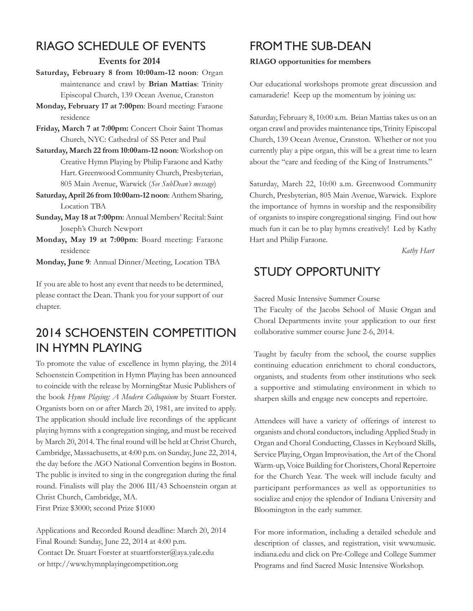## rIaGo sChedule of eVeNts

#### **Events for 2014**

- Saturday, February 8 from 10:00am-12 noon: Organ maintenance and crawl by **Brian Mattias**: Trinity Episcopal Church, 139 Ocean Avenue, Cranston
- **Monday, February 17 at 7:00pm**: Board meeting: Faraone residence
- **Friday, March 7 at 7:00pm:** Concert Choir Saint Thomas Church, NYC: Cathedral of SS Peter and Paul
- **Saturday, March 22 from 10:00am-12 noon**: Workshop on Creative Hymn Playing by Philip Faraone and Kathy Hart. Greenwood Community Church, Presbyterian, 805 Main Avenue, Warwick (See SubDean's message)
- **Saturday, April 26 from 10:00am-12 noon**: Anthem Sharing, Location TBA
- **Sunday, May 18 at 7:00pm**: Annual Members' Recital: Saint Joseph's Church Newport
- **Monday, May 19 at 7:00pm**: Board meeting: Faraone residence

**Monday, June 9**: Annual Dinner/Meeting, Location TBA

If you are able to host any event that needs to be determined, please contact the Dean. Thank you for your support of our chapter.

## 2014 sChoeNsteIN CompetItIoN IN hymN playING

To promote the value of excellence in hymn playing, the 2014 Schoenstein Competition in Hymn Playing has been announced to coincide with the release by MorningStar Music Publishers of the book *Hymn Playing: A Modern Colloquium* by Stuart Forster. Organists born on or after March 20, 1981, are invited to apply. The application should include live recordings of the applicant playing hymns with a congregation singing, and must be received by March 20, 2014. The final round will be held at Christ Church, Cambridge, Massachusetts, at 4:00 p.m. on Sunday, June 22, 2014, the day before the AGO National Convention begins in Boston. The public is invited to sing in the congregation during the final round. Finalists will play the 2006 III/43 Schoenstein organ at Christ Church, Cambridge, MA.

First Prize \$3000; second Prize \$1000

Applications and Recorded Round deadline: March 20, 2014 Final Round: Sunday, June 22, 2014 at 4:00 p.m. Contact Dr. Stuart Forster at stuartforster@aya.yale.edu or http://www.hymnplayingcompetition.org

#### FROM THE SUB-DEAN

#### **RIAGO opportunities for members**

Our educational workshops promote great discussion and camaraderie! Keep up the momentum by joining us:

Saturday, February 8, 10:00 a.m. Brian Mattias takes us on an organ crawl and provides maintenance tips, Trinity Episcopal Church, 139 Ocean Avenue, Cranston. Whether or not you currently play a pipe organ, this will be a great time to learn about the "care and feeding of the King of Instruments."

Saturday, March 22, 10:00 a.m. Greenwood Community Church, Presbyterian, 805 Main Avenue, Warwick. Explore the importance of hymns in worship and the responsibility of organists to inspire congregational singing. Find out how much fun it can be to play hymns creatively! Led by Kathy Hart and Philip Faraone.

 *Kathy Hart*

## study opportuNIty

Sacred Music Intensive Summer Course

The Faculty of the Jacobs School of Music Organ and Choral Departments invite your application to our first collaborative summer course June 2-6, 2014.

Taught by faculty from the school, the course supplies continuing education enrichment to choral conductors, organists, and students from other institutions who seek a supportive and stimulating environment in which to sharpen skills and engage new concepts and repertoire.

Attendees will have a variety of offerings of interest to organists and choral conductors, including Applied Study in Organ and Choral Conducting, Classes in Keyboard Skills, Service Playing, Organ Improvisation, the Art of the Choral Warm-up, Voice Building for Choristers, Choral Repertoire for the Church Year. The week will include faculty and participant performances as well as opportunities to socialize and enjoy the splendor of Indiana University and Bloomington in the early summer.

For more information, including a detailed schedule and description of classes, and registration, visit www.music. indiana.edu and click on Pre-College and College Summer Programs and find Sacred Music Intensive Workshop.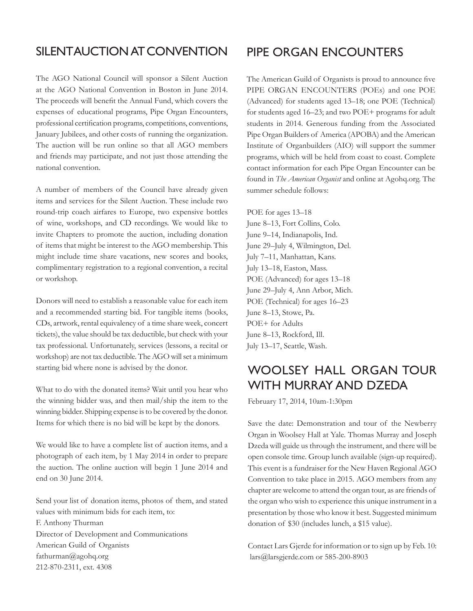#### SILENTAUCTION AT CONVENTION

The AGO National Council will sponsor a Silent Auction at the AGO National Convention in Boston in June 2014. The proceeds will benefit the Annual Fund, which covers the expenses of educational programs, Pipe Organ Encounters, professional certification programs, competitions, conventions, January Jubilees, and other costs of running the organization. The auction will be run online so that all AGO members and friends may participate, and not just those attending the national convention.

A number of members of the Council have already given items and services for the Silent Auction. These include two round-trip coach airfares to Europe, two expensive bottles of wine, workshops, and CD recordings. We would like to invite Chapters to promote the auction, including donation of items that might be interest to the AGO membership. This might include time share vacations, new scores and books, complimentary registration to a regional convention, a recital or workshop.

Donors will need to establish a reasonable value for each item and a recommended starting bid. For tangible items (books, CDs, artwork, rental equivalency of a time share week, concert tickets), the value should be tax deductible, but check with your tax professional. Unfortunately, services (lessons, a recital or workshop) are not tax deductible. The AGO will set a minimum starting bid where none is advised by the donor.

What to do with the donated items? Wait until you hear who the winning bidder was, and then mail/ship the item to the winning bidder. Shipping expense is to be covered by the donor. Items for which there is no bid will be kept by the donors.

We would like to have a complete list of auction items, and a photograph of each item, by 1 May 2014 in order to prepare the auction. The online auction will begin 1 June 2014 and end on 30 June 2014.

Send your list of donation items, photos of them, and stated values with minimum bids for each item, to: F. Anthony Thurman Director of Development and Communications American Guild of Organists fathurman@agohq.org 212-870-2311, ext. 4308

#### pIpe orGaN eNCouNters

The American Guild of Organists is proud to announce five PIPE ORGAN ENCOUNTERS (POEs) and one POE (Advanced) for students aged 13-18; one POE (Technical) for students aged 16–23; and two POE+ programs for adult students in 2014. Generous funding from the Associated Pipe Organ Builders of America (APOBA) and the American Institute of Organbuilders (AIO) will support the summer programs, which will be held from coast to coast. Complete contact information for each Pipe Organ Encounter can be found in *The American Organist* and online at Agohq.org. The summer schedule follows:

POE for ages 13-18 June 8–13, Fort Collins, Colo. June 9-14, Indianapolis, Ind. June 29-July 4, Wilmington, Del. July 7-11, Manhattan, Kans. July 13–18, Easton, Mass. POE (Advanced) for ages 13-18 June 29-July 4, Ann Arbor, Mich. POE (Technical) for ages 16-23 June 8-13, Stowe, Pa. POE+ for Adults June 8-13, Rockford, Ill. July 13-17, Seattle, Wash.

#### woolsey hall orGaN tour wIth murray aNd dzeda

February 17, 2014, 10am-1:30pm

Save the date: Demonstration and tour of the Newberry Organ in Woolsey Hall at Yale. Thomas Murray and Joseph Dzeda will guide us through the instrument, and there will be open console time. Group lunch available (sign-up required). This event is a fundraiser for the New Haven Regional AGO Convention to take place in 2015. AGO members from any chapter are welcome to attend the organ tour, as are friends of the organ who wish to experience this unique instrument in a presentation by those who know it best. Suggested minimum donation of \$30 (includes lunch, a \$15 value).

Contact Lars Gjerde for information or to sign up by Feb. 10: lars@larsgjerde.com or 585-200-8903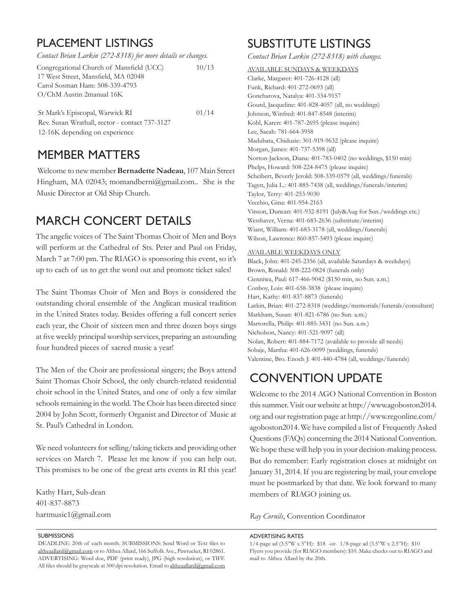## **PLACEMENT LISTINGS**

| Contact Brian Larkin (272-8318) for more details or changes. |  |
|--------------------------------------------------------------|--|
|                                                              |  |

| Congregational Church of Mansfield (UCC) | 10/13 |
|------------------------------------------|-------|
| 17 West Street, Mansfield, MA 02048      |       |
| Carol Sosman Ham: 508-339-4793           |       |
| O/ChM Austin 2manual 16K                 |       |
|                                          |       |

 $01/14$ St Mark's Episcopal, Warwick RI Rev. Susan Wrathall, rector - contact 737-3127 12-16K depending on experience

#### **MEMBER MATTERS**

Welcome to new member Bernadette Nadeau, 107 Main Street Hingham, MA 02043; momandberni@gmail.com.. She is the Music Director at Old Ship Church.

## **MARCH CONCERT DETAILS**

The angelic voices of The Saint Thomas Choir of Men and Boys will perform at the Cathedral of Sts. Peter and Paul on Friday, March 7 at 7:00 pm. The RIAGO is sponsoring this event, so it's up to each of us to get the word out and promote ticket sales!

The Saint Thomas Choir of Men and Boys is considered the outstanding choral ensemble of the Anglican musical tradition in the United States today. Besides offering a full concert series each year, the Choir of sixteen men and three dozen boys sings at five weekly principal worship services, preparing an astounding four hundred pieces of sacred music a year!

The Men of the Choir are professional singers; the Boys attend Saint Thomas Choir School, the only church-related residential choir school in the United States, and one of only a few similar schools remaining in the world. The Choir has been directed since 2004 by John Scott, formerly Organist and Director of Music at St. Paul's Cathedral in London.

We need volunteers for selling/taking tickets and providing other services on March 7. Please let me know if you can help out. This promises to be one of the great arts events in RI this year!

Kathy Hart, Sub-dean 401-837-8873 hartmusic1@gmail.com

#### **SUBMISSIONS**

DEADLINE: 20th of each month. SUBMISSIONS: Send Word or Text files to altheaallard@gmail.com or to Althea Allard, 166 Suffolk Ave., Pawtucket, RI 02861. ADVERTISING: Word doc, PDF (print ready), JPG (high resolution), or TIFF. All files should be grayscale at 300 dpi resolution. Email to altheaallard@gmail.com

## **SUBSTITUTE LISTINGS**

Contact Brian Larkin (272-8318) with changes.

**AVAILABLE SUNDAYS & WEEKDAYS** 

Clarke, Margaret: 401-726-4128 (all) Funk, Richard: 401-272-0693 (all) Goncharova, Natalya: 401-334-9157 Gourd, Jacqueline: 401-828-4057 (all, no weddings) Johnson, Winfred: 401-847-8548 (interim) Kohl, Karen: 401-787-2695 (please inquire) Lee, Saeah: 781-664-3958 Madubata, Chiduzie: 301-919-9632 (please inquire) Morgan, James: 401-737-5398 (all) Norton-Jackson, Diana: 401-783-0402 (no weddings, \$150 min) Phelps, Howard: 508-224-8475 (please inquire) Scheibert, Beverly Jerold: 508-339-0579 (all, weddings/funerals) Tagen, Julia L.: 401-885-7438 (all, weddings/funerals/interim) Taylor, Terry: 401-253-9030 Vecchio, Gina: 401-954-2163 Vinson, Duncan: 401-932-8191 (July&Aug for Sun./weddings etc.) Westhaver, Verna: 401-683-2636 (substitute/interim) Wiant, William: 401-683-3178 (all, weddings/funerals) Wilson, Lawrence: 860-857-5493 (please inquire)

#### **AVAILABLE WEEKDAYS ONLY**

Black, John: 401-245-2356 (all, available Saturdays & weekdays) Brown, Ronald: 508-222-0824 (funerals only) Cienniwa, Paul: 617-466-9042 (\$150 min, no Sun. a.m.) Conboy, Lois: 401-658-3838 (please inquire) Hart, Kathy: 401-837-8873 (funerals) Larkin, Brian: 401-272-8318 (weddings/memorials/funerals/consultant) Markham, Susan: 401-821-6786 (no Sun. a.m.) Martorella, Philip: 401-885-3431 (no Sun. a.m.) Nicholson, Nancy: 401-521-9097 (all) Nolan, Robert: 401-884-7172 (available to provide all needs) Sobaje, Martha: 401-626-0099 (weddings, funerals) Valentine, Bro. Enoch J: 401-440-4784 (all, weddings/funerals)

## **CONVENTION UPDATE**

Welcome to the 2014 AGO National Convention in Boston this summer. Visit our website at http://www.agoboston2014. org and our registration page at http://www.regonline.com/ agoboston2014. We have compiled a list of Frequently Asked Questions (FAQs) concerning the 2014 National Convention. We hope these will help you in your decision-making process. But do remember: Early registration closes at midnight on January 31, 2014. If you are registering by mail, your envelope must be postmarked by that date. We look forward to many members of RIAGO joining us.

Ray Cornils, Convention Coordinator

#### ADVERTISING RATES

<sup>1/4-</sup>page ad (3.5"W x 5"H): \$18 -or- 1/8-page ad (3.5"W x 2.5"H): \$10 Flyers you provide (for RIAGO members): \$10. Make checks out to RIAGO and mail to Althea Allard by the 20th.